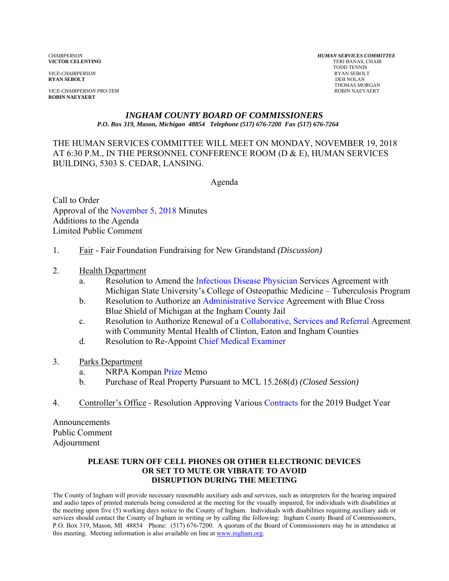*VICE-CHAIRPERSON* RYAN SEBOLT **RYAN SEBOLT** 

*VICE-CHAIRPERSON PRO-TEM* ROBIN NAEYAERT **ROBIN NAEYAERT** 

*CHAIRPERSON HUMAN SERVICES COMMITTEE* **TERI BANAS, CHAIR**  TODD TENNIS THOMAS MORGAN

### *INGHAM COUNTY BOARD OF COMMISSIONERS P.O. Box 319, Mason, Michigan 48854 Telephone (517) 676-7200 Fax (517) 676-7264*

THE HUMAN SERVICES COMMITTEE WILL MEET ON MONDAY, NOVEMBER 19, 2018 AT 6:30 P.M., IN THE PERSONNEL CONFERENCE ROOM (D & E), HUMAN SERVICES BUILDING, 5303 S. CEDAR, LANSING.

Agenda

Call to Order Approval [of the November 5, 2018 Minutes](#page-1-0)  Additions to the Agenda Limited Public Comment

- 1. Fair Fair Foundation Fundraising for New Grandstand *(Discussion)*
- 2. Health Department
	- a. Resolution to Amend the Infectious [Disease Physician Services A](#page-9-0)greement with Michigan State University's College of Osteopathic Medicine – Tuberculosis Program
	- b. Resolution to Authorize an [Administrative Service Agree](#page-11-0)ment with Blue Cross Blue Shield of Michigan at the Ingham County Jail
	- c. Resolution to Authorize Renewal of a Collaborative, Services and Referral Agreement with Community Mental Health of [Clinton, Eaton and Ingham Counties](#page-24-0)
	- d. Resolution to Re-Appoin[t Chief Medical Examiner](#page-26-0)
- 3. Parks Department
	- a. NRPA K[ompan Prize Memo](#page-28-0)
	- b. Purchase of Real Property Pursuant to MCL 15.268(d) *(Closed Session)*
- 4. Controller's Office Resolution Approving Vari[ous Contracts for the 201](#page-29-0)9 Budget Year

Announcements Public Comment Adjournment

### **PLEASE TURN OFF CELL PHONES OR OTHER ELECTRONIC DEVICES OR SET TO MUTE OR VIBRATE TO AVOID DISRUPTION DURING THE MEETING**

The County of Ingham will provide necessary reasonable auxiliary aids and services, such as interpreters for the hearing impaired and audio tapes of printed materials being considered at the meeting for the visually impaired, for individuals with disabilities at the meeting upon five (5) working days notice to the County of Ingham. Individuals with disabilities requiring auxiliary aids or services should contact the County of Ingham in writing or by calling the following: Ingham County Board of Commissioners, P.O. Box 319, Mason, MI 48854 Phone: (517) 676-7200. A quorum of the Board of Commissioners may be in attendance at this meeting. Meeting information is also available on line at www.ingham.org.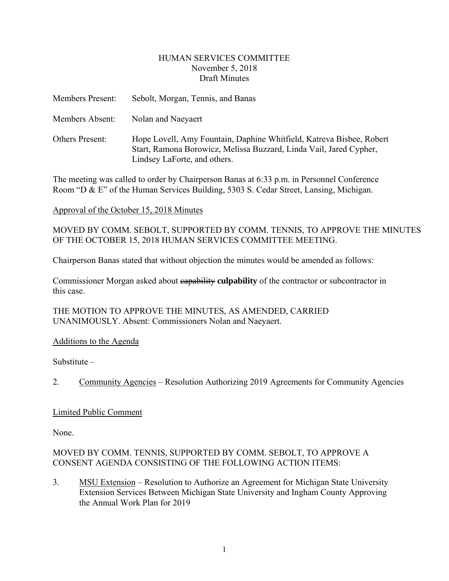## HUMAN SERVICES COMMITTEE November 5, 2018 Draft Minutes

<span id="page-1-0"></span>

| <b>Members Present:</b> | Sebolt, Morgan, Tennis, and Banas                                                                                                                                          |
|-------------------------|----------------------------------------------------------------------------------------------------------------------------------------------------------------------------|
| Members Absent:         | Nolan and Naeyaert                                                                                                                                                         |
| Others Present:         | Hope Lovell, Amy Fountain, Daphine Whitfield, Katreva Bisbee, Robert<br>Start, Ramona Borowicz, Melissa Buzzard, Linda Vail, Jared Cypher,<br>Lindsey LaForte, and others. |

The meeting was called to order by Chairperson Banas at 6:33 p.m. in Personnel Conference Room "D & E" of the Human Services Building, 5303 S. Cedar Street, Lansing, Michigan.

Approval of the October 15, 2018 Minutes

MOVED BY COMM. SEBOLT, SUPPORTED BY COMM. TENNIS, TO APPROVE THE MINUTES OF THE OCTOBER 15, 2018 HUMAN SERVICES COMMITTEE MEETING.

Chairperson Banas stated that without objection the minutes would be amended as follows:

Commissioner Morgan asked about capability **culpability** of the contractor or subcontractor in this case.

THE MOTION TO APPROVE THE MINUTES, AS AMENDED, CARRIED UNANIMOUSLY. Absent: Commissioners Nolan and Naeyaert.

## Additions to the Agenda

Substitute –

2. Community Agencies – Resolution Authorizing 2019 Agreements for Community Agencies

## Limited Public Comment

None.

## MOVED BY COMM. TENNIS, SUPPORTED BY COMM. SEBOLT, TO APPROVE A CONSENT AGENDA CONSISTING OF THE FOLLOWING ACTION ITEMS:

3. MSU Extension – Resolution to Authorize an Agreement for Michigan State University Extension Services Between Michigan State University and Ingham County Approving the Annual Work Plan for 2019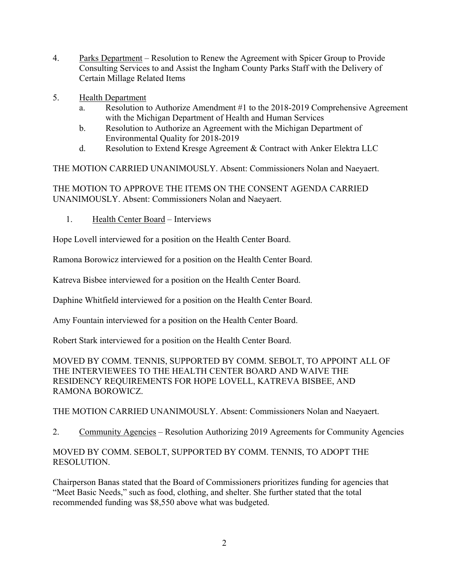- 4. Parks Department Resolution to Renew the Agreement with Spicer Group to Provide Consulting Services to and Assist the Ingham County Parks Staff with the Delivery of Certain Millage Related Items
- 5. Health Department
	- a. Resolution to Authorize Amendment #1 to the 2018-2019 Comprehensive Agreement with the Michigan Department of Health and Human Services
	- b. Resolution to Authorize an Agreement with the Michigan Department of Environmental Quality for 2018-2019
	- d. Resolution to Extend Kresge Agreement & Contract with Anker Elektra LLC

THE MOTION CARRIED UNANIMOUSLY. Absent: Commissioners Nolan and Naeyaert.

THE MOTION TO APPROVE THE ITEMS ON THE CONSENT AGENDA CARRIED UNANIMOUSLY. Absent: Commissioners Nolan and Naeyaert.

1. Health Center Board – Interviews

Hope Lovell interviewed for a position on the Health Center Board.

Ramona Borowicz interviewed for a position on the Health Center Board.

Katreva Bisbee interviewed for a position on the Health Center Board.

Daphine Whitfield interviewed for a position on the Health Center Board.

Amy Fountain interviewed for a position on the Health Center Board.

Robert Stark interviewed for a position on the Health Center Board.

MOVED BY COMM. TENNIS, SUPPORTED BY COMM. SEBOLT, TO APPOINT ALL OF THE INTERVIEWEES TO THE HEALTH CENTER BOARD AND WAIVE THE RESIDENCY REQUIREMENTS FOR HOPE LOVELL, KATREVA BISBEE, AND RAMONA BOROWICZ.

THE MOTION CARRIED UNANIMOUSLY. Absent: Commissioners Nolan and Naeyaert.

2. Community Agencies – Resolution Authorizing 2019 Agreements for Community Agencies

## MOVED BY COMM. SEBOLT, SUPPORTED BY COMM. TENNIS, TO ADOPT THE RESOLUTION.

Chairperson Banas stated that the Board of Commissioners prioritizes funding for agencies that "Meet Basic Needs," such as food, clothing, and shelter. She further stated that the total recommended funding was \$8,550 above what was budgeted.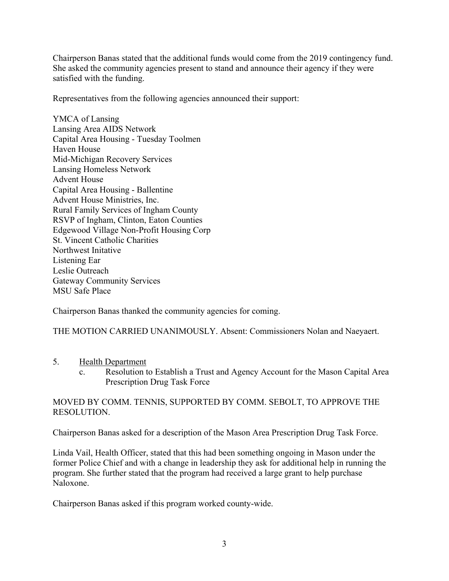Chairperson Banas stated that the additional funds would come from the 2019 contingency fund. She asked the community agencies present to stand and announce their agency if they were satisfied with the funding.

Representatives from the following agencies announced their support:

YMCA of Lansing Lansing Area AIDS Network Capital Area Housing - Tuesday Toolmen Haven House Mid-Michigan Recovery Services Lansing Homeless Network Advent House Capital Area Housing - Ballentine Advent House Ministries, Inc. Rural Family Services of Ingham County RSVP of Ingham, Clinton, Eaton Counties Edgewood Village Non-Profit Housing Corp St. Vincent Catholic Charities Northwest Initative Listening Ear Leslie Outreach Gateway Community Services MSU Safe Place

Chairperson Banas thanked the community agencies for coming.

THE MOTION CARRIED UNANIMOUSLY. Absent: Commissioners Nolan and Naeyaert.

- 5. Health Department
	- c. Resolution to Establish a Trust and Agency Account for the Mason Capital Area Prescription Drug Task Force

## MOVED BY COMM. TENNIS, SUPPORTED BY COMM. SEBOLT, TO APPROVE THE RESOLUTION.

Chairperson Banas asked for a description of the Mason Area Prescription Drug Task Force.

Linda Vail, Health Officer, stated that this had been something ongoing in Mason under the former Police Chief and with a change in leadership they ask for additional help in running the program. She further stated that the program had received a large grant to help purchase Naloxone.

Chairperson Banas asked if this program worked county-wide.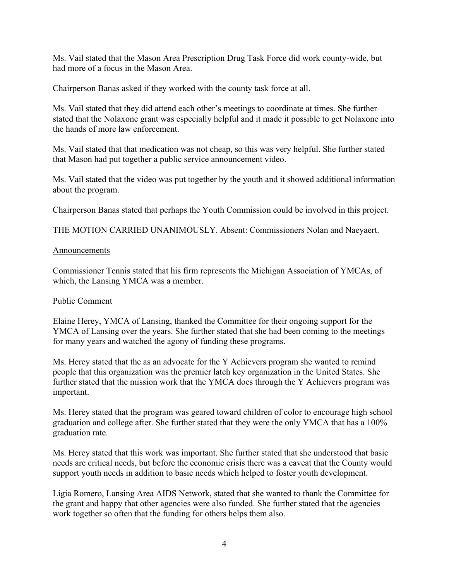Ms. Vail stated that the Mason Area Prescription Drug Task Force did work county-wide, but had more of a focus in the Mason Area.

Chairperson Banas asked if they worked with the county task force at all.

Ms. Vail stated that they did attend each other's meetings to coordinate at times. She further stated that the Nolaxone grant was especially helpful and it made it possible to get Nolaxone into the hands of more law enforcement.

Ms. Vail stated that that medication was not cheap, so this was very helpful. She further stated that Mason had put together a public service announcement video.

Ms. Vail stated that the video was put together by the youth and it showed additional information about the program.

Chairperson Banas stated that perhaps the Youth Commission could be involved in this project.

THE MOTION CARRIED UNANIMOUSLY. Absent: Commissioners Nolan and Naeyaert.

## Announcements

Commissioner Tennis stated that his firm represents the Michigan Association of YMCAs, of which, the Lansing YMCA was a member.

## Public Comment

Elaine Herey, YMCA of Lansing, thanked the Committee for their ongoing support for the YMCA of Lansing over the years. She further stated that she had been coming to the meetings for many years and watched the agony of funding these programs.

Ms. Herey stated that the as an advocate for the Y Achievers program she wanted to remind people that this organization was the premier latch key organization in the United States. She further stated that the mission work that the YMCA does through the Y Achievers program was important.

Ms. Herey stated that the program was geared toward children of color to encourage high school graduation and college after. She further stated that they were the only YMCA that has a 100% graduation rate.

Ms. Herey stated that this work was important. She further stated that she understood that basic needs are critical needs, but before the economic crisis there was a caveat that the County would support youth needs in addition to basic needs which helped to foster youth development.

Ligia Romero, Lansing Area AIDS Network, stated that she wanted to thank the Committee for the grant and happy that other agencies were also funded. She further stated that the agencies work together so often that the funding for others helps them also.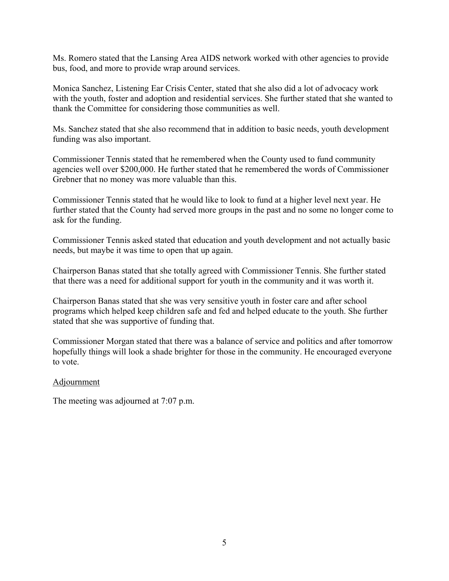Ms. Romero stated that the Lansing Area AIDS network worked with other agencies to provide bus, food, and more to provide wrap around services.

Monica Sanchez, Listening Ear Crisis Center, stated that she also did a lot of advocacy work with the youth, foster and adoption and residential services. She further stated that she wanted to thank the Committee for considering those communities as well.

Ms. Sanchez stated that she also recommend that in addition to basic needs, youth development funding was also important.

Commissioner Tennis stated that he remembered when the County used to fund community agencies well over \$200,000. He further stated that he remembered the words of Commissioner Grebner that no money was more valuable than this.

Commissioner Tennis stated that he would like to look to fund at a higher level next year. He further stated that the County had served more groups in the past and no some no longer come to ask for the funding.

Commissioner Tennis asked stated that education and youth development and not actually basic needs, but maybe it was time to open that up again.

Chairperson Banas stated that she totally agreed with Commissioner Tennis. She further stated that there was a need for additional support for youth in the community and it was worth it.

Chairperson Banas stated that she was very sensitive youth in foster care and after school programs which helped keep children safe and fed and helped educate to the youth. She further stated that she was supportive of funding that.

Commissioner Morgan stated that there was a balance of service and politics and after tomorrow hopefully things will look a shade brighter for those in the community. He encouraged everyone to vote.

## Adjournment

The meeting was adjourned at 7:07 p.m.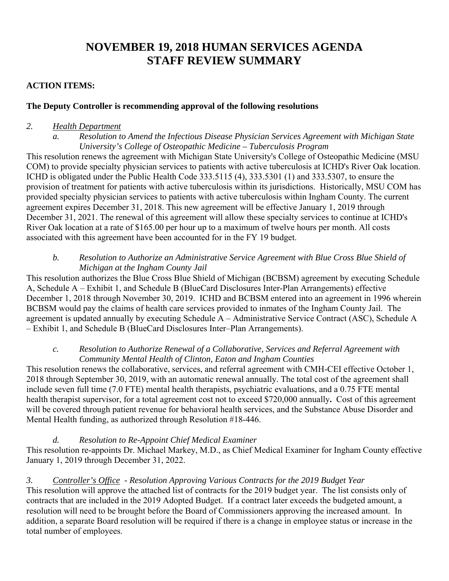# **NOVEMBER 19, 2018 HUMAN SERVICES AGENDA STAFF REVIEW SUMMARY**

## **ACTION ITEMS:**

## **The Deputy Controller is recommending approval of the following resolutions**

## *2. Health Department*

## *a. Resolution to Amend the Infectious Disease Physician Services Agreement with Michigan State University's College of Osteopathic Medicine – Tuberculosis Program*

This resolution renews the agreement with Michigan State University's College of Osteopathic Medicine (MSU COM) to provide specialty physician services to patients with active tuberculosis at ICHD's River Oak location. ICHD is obligated under the Public Health Code 333.5115 (4), 333.5301 (1) and 333.5307, to ensure the provision of treatment for patients with active tuberculosis within its jurisdictions. Historically, MSU COM has provided specialty physician services to patients with active tuberculosis within Ingham County. The current agreement expires December 31, 2018. This new agreement will be effective January 1, 2019 through December 31, 2021. The renewal of this agreement will allow these specialty services to continue at ICHD's River Oak location at a rate of \$165.00 per hour up to a maximum of twelve hours per month. All costs associated with this agreement have been accounted for in the FY 19 budget.

## *b. Resolution to Authorize an Administrative Service Agreement with Blue Cross Blue Shield of Michigan at the Ingham County Jail*

This resolution authorizes the Blue Cross Blue Shield of Michigan (BCBSM) agreement by executing Schedule A, Schedule A – Exhibit 1, and Schedule B (BlueCard Disclosures Inter-Plan Arrangements) effective December 1, 2018 through November 30, 2019. ICHD and BCBSM entered into an agreement in 1996 wherein BCBSM would pay the claims of health care services provided to inmates of the Ingham County Jail. The agreement is updated annually by executing Schedule A – Administrative Service Contract (ASC), Schedule A – Exhibit 1, and Schedule B (BlueCard Disclosures Inter–Plan Arrangements).

## *c. Resolution to Authorize Renewal of a Collaborative, Services and Referral Agreement with Community Mental Health of Clinton, Eaton and Ingham Counties*

This resolution renews the collaborative, services, and referral agreement with CMH-CEI effective October 1, 2018 through September 30, 2019, with an automatic renewal annually. The total cost of the agreement shall include seven full time (7.0 FTE) mental health therapists, psychiatric evaluations, and a 0.75 FTE mental health therapist supervisor, for a total agreement cost not to exceed \$720,000 annually**.** Cost of this agreement will be covered through patient revenue for behavioral health services, and the Substance Abuse Disorder and Mental Health funding, as authorized through Resolution #18-446.

## *d. Resolution to Re-Appoint Chief Medical Examiner*

This resolution re-appoints Dr. Michael Markey, M.D., as Chief Medical Examiner for Ingham County effective January 1, 2019 through December 31, 2022.

## *3. Controller's Office - Resolution Approving Various Contracts for the 2019 Budget Year*

This resolution will approve the attached list of contracts for the 2019 budget year. The list consists only of contracts that are included in the 2019 Adopted Budget. If a contract later exceeds the budgeted amount, a resolution will need to be brought before the Board of Commissioners approving the increased amount. In addition, a separate Board resolution will be required if there is a change in employee status or increase in the total number of employees.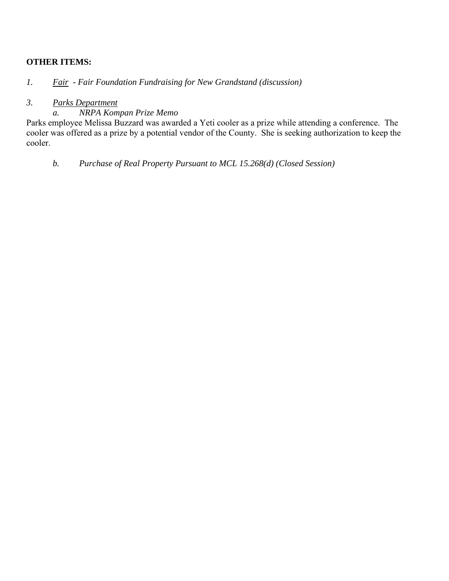## **OTHER ITEMS:**

## *1. Fair - Fair Foundation Fundraising for New Grandstand (discussion)*

## *3. Parks Department*

*a. NRPA Kompan Prize Memo* 

Parks employee Melissa Buzzard was awarded a Yeti cooler as a prize while attending a conference. The cooler was offered as a prize by a potential vendor of the County. She is seeking authorization to keep the cooler.

*b. Purchase of Real Property Pursuant to MCL 15.268(d) (Closed Session)*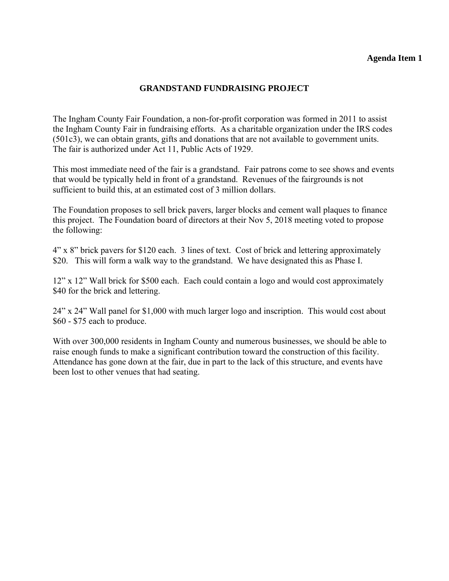## **GRANDSTAND FUNDRAISING PROJECT**

The Ingham County Fair Foundation, a non-for-profit corporation was formed in 2011 to assist the Ingham County Fair in fundraising efforts. As a charitable organization under the IRS codes (501c3), we can obtain grants, gifts and donations that are not available to government units. The fair is authorized under Act 11, Public Acts of 1929.

This most immediate need of the fair is a grandstand. Fair patrons come to see shows and events that would be typically held in front of a grandstand. Revenues of the fairgrounds is not sufficient to build this, at an estimated cost of 3 million dollars.

The Foundation proposes to sell brick pavers, larger blocks and cement wall plaques to finance this project. The Foundation board of directors at their Nov 5, 2018 meeting voted to propose the following:

4" x 8" brick pavers for \$120 each. 3 lines of text. Cost of brick and lettering approximately \$20. This will form a walk way to the grandstand. We have designated this as Phase I.

12" x 12" Wall brick for \$500 each. Each could contain a logo and would cost approximately \$40 for the brick and lettering.

24" x 24" Wall panel for \$1,000 with much larger logo and inscription. This would cost about \$60 - \$75 each to produce.

With over 300,000 residents in Ingham County and numerous businesses, we should be able to raise enough funds to make a significant contribution toward the construction of this facility. Attendance has gone down at the fair, due in part to the lack of this structure, and events have been lost to other venues that had seating.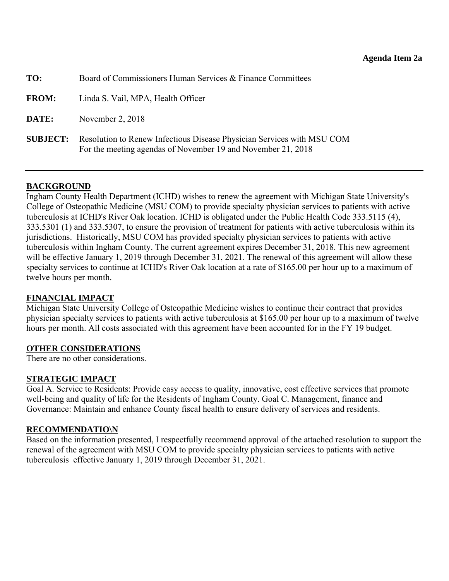<span id="page-9-0"></span>

| TO:             | Board of Commissioners Human Services & Finance Committees                                                                             |
|-----------------|----------------------------------------------------------------------------------------------------------------------------------------|
| <b>FROM:</b>    | Linda S. Vail, MPA, Health Officer                                                                                                     |
| DATE:           | November $2, 2018$                                                                                                                     |
| <b>SUBJECT:</b> | Resolution to Renew Infectious Disease Physician Services with MSU COM<br>For the meeting agendas of November 19 and November 21, 2018 |

## **BACKGROUND**

Ingham County Health Department (ICHD) wishes to renew the agreement with Michigan State University's College of Osteopathic Medicine (MSU COM) to provide specialty physician services to patients with active tuberculosis at ICHD's River Oak location. ICHD is obligated under the Public Health Code 333.5115 (4), 333.5301 (1) and 333.5307, to ensure the provision of treatment for patients with active tuberculosis within its jurisdictions. Historically, MSU COM has provided specialty physician services to patients with active tuberculosis within Ingham County. The current agreement expires December 31, 2018. This new agreement will be effective January 1, 2019 through December 31, 2021. The renewal of this agreement will allow these specialty services to continue at ICHD's River Oak location at a rate of \$165.00 per hour up to a maximum of twelve hours per month.

## **FINANCIAL IMPACT**

Michigan State University College of Osteopathic Medicine wishes to continue their contract that provides physician specialty services to patients with active tuberculosis at \$165.00 per hour up to a maximum of twelve hours per month. All costs associated with this agreement have been accounted for in the FY 19 budget.

## **OTHER CONSIDERATIONS**

There are no other considerations.

## **STRATEGIC IMPACT**

Goal A. Service to Residents: Provide easy access to quality, innovative, cost effective services that promote well-being and quality of life for the Residents of Ingham County. Goal C. Management, finance and Governance: Maintain and enhance County fiscal health to ensure delivery of services and residents.

## **RECOMMENDATIO\N**

Based on the information presented, I respectfully recommend approval of the attached resolution to support the renewal of the agreement with MSU COM to provide specialty physician services to patients with active tuberculosis effective January 1, 2019 through December 31, 2021.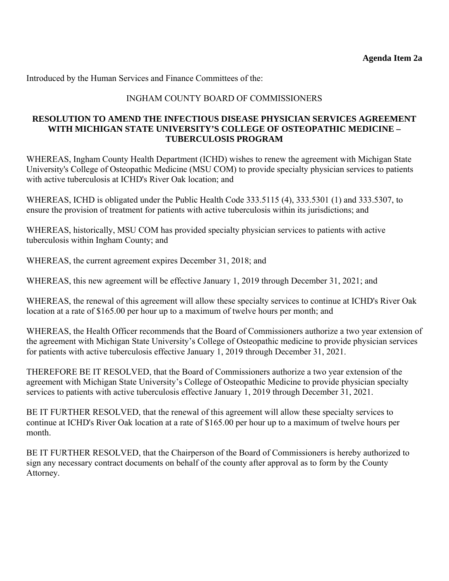Introduced by the Human Services and Finance Committees of the:

## INGHAM COUNTY BOARD OF COMMISSIONERS

## **RESOLUTION TO AMEND THE INFECTIOUS DISEASE PHYSICIAN SERVICES AGREEMENT WITH MICHIGAN STATE UNIVERSITY'S COLLEGE OF OSTEOPATHIC MEDICINE – TUBERCULOSIS PROGRAM**

WHEREAS, Ingham County Health Department (ICHD) wishes to renew the agreement with Michigan State University's College of Osteopathic Medicine (MSU COM) to provide specialty physician services to patients with active tuberculosis at ICHD's River Oak location; and

WHEREAS, ICHD is obligated under the Public Health Code 333.5115 (4), 333.5301 (1) and 333.5307, to ensure the provision of treatment for patients with active tuberculosis within its jurisdictions; and

WHEREAS, historically, MSU COM has provided specialty physician services to patients with active tuberculosis within Ingham County; and

WHEREAS, the current agreement expires December 31, 2018; and

WHEREAS, this new agreement will be effective January 1, 2019 through December 31, 2021; and

WHEREAS, the renewal of this agreement will allow these specialty services to continue at ICHD's River Oak location at a rate of \$165.00 per hour up to a maximum of twelve hours per month; and

WHEREAS, the Health Officer recommends that the Board of Commissioners authorize a two year extension of the agreement with Michigan State University's College of Osteopathic medicine to provide physician services for patients with active tuberculosis effective January 1, 2019 through December 31, 2021.

THEREFORE BE IT RESOLVED, that the Board of Commissioners authorize a two year extension of the agreement with Michigan State University's College of Osteopathic Medicine to provide physician specialty services to patients with active tuberculosis effective January 1, 2019 through December 31, 2021.

BE IT FURTHER RESOLVED, that the renewal of this agreement will allow these specialty services to continue at ICHD's River Oak location at a rate of \$165.00 per hour up to a maximum of twelve hours per month.

BE IT FURTHER RESOLVED, that the Chairperson of the Board of Commissioners is hereby authorized to sign any necessary contract documents on behalf of the county after approval as to form by the County Attorney.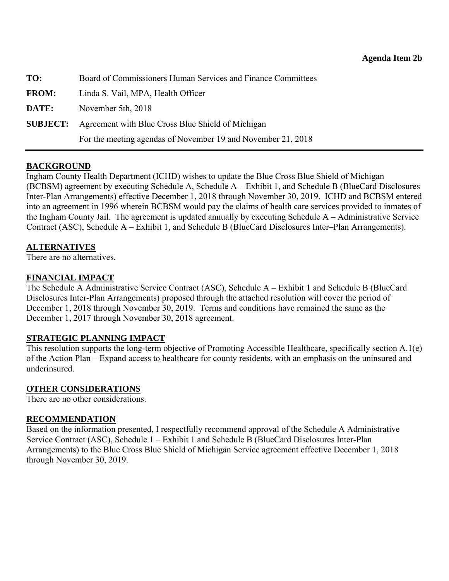<span id="page-11-0"></span>

| TO:          | Board of Commissioners Human Services and Finance Committees      |
|--------------|-------------------------------------------------------------------|
| <b>FROM:</b> | Linda S. Vail, MPA, Health Officer                                |
| DATE:        | November 5th, 2018                                                |
|              | <b>SUBJECT:</b> Agreement with Blue Cross Blue Shield of Michigan |
|              | For the meeting agendas of November 19 and November 21, 2018      |

## **BACKGROUND**

Ingham County Health Department (ICHD) wishes to update the Blue Cross Blue Shield of Michigan (BCBSM) agreement by executing Schedule A, Schedule A – Exhibit 1, and Schedule B (BlueCard Disclosures Inter-Plan Arrangements) effective December 1, 2018 through November 30, 2019. ICHD and BCBSM entered into an agreement in 1996 wherein BCBSM would pay the claims of health care services provided to inmates of the Ingham County Jail. The agreement is updated annually by executing Schedule A – Administrative Service Contract (ASC), Schedule A – Exhibit 1, and Schedule B (BlueCard Disclosures Inter–Plan Arrangements).

## **ALTERNATIVES**

There are no alternatives.

## **FINANCIAL IMPACT**

The Schedule A Administrative Service Contract (ASC), Schedule A – Exhibit 1 and Schedule B (BlueCard Disclosures Inter-Plan Arrangements) proposed through the attached resolution will cover the period of December 1, 2018 through November 30, 2019. Terms and conditions have remained the same as the December 1, 2017 through November 30, 2018 agreement.

## **STRATEGIC PLANNING IMPACT**

This resolution supports the long-term objective of Promoting Accessible Healthcare, specifically section A.1(e) of the Action Plan – Expand access to healthcare for county residents, with an emphasis on the uninsured and underinsured.

## **OTHER CONSIDERATIONS**

There are no other considerations.

## **RECOMMENDATION**

Based on the information presented, I respectfully recommend approval of the Schedule A Administrative Service Contract (ASC), Schedule 1 – Exhibit 1 and Schedule B (BlueCard Disclosures Inter-Plan Arrangements) to the Blue Cross Blue Shield of Michigan Service agreement effective December 1, 2018 through November 30, 2019.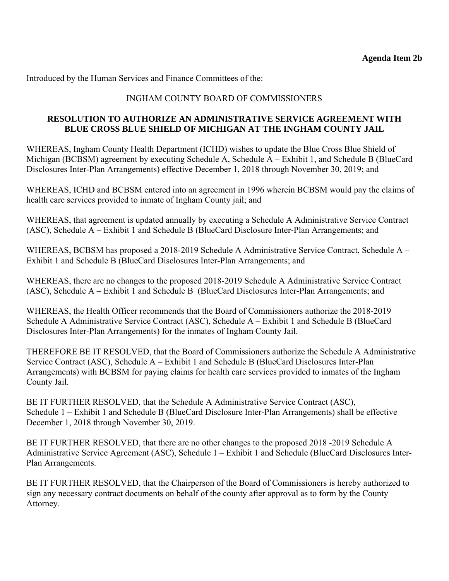Introduced by the Human Services and Finance Committees of the:

## INGHAM COUNTY BOARD OF COMMISSIONERS

## **RESOLUTION TO AUTHORIZE AN ADMINISTRATIVE SERVICE AGREEMENT WITH BLUE CROSS BLUE SHIELD OF MICHIGAN AT THE INGHAM COUNTY JAIL**

WHEREAS, Ingham County Health Department (ICHD) wishes to update the Blue Cross Blue Shield of Michigan (BCBSM) agreement by executing Schedule A, Schedule A – Exhibit 1, and Schedule B (BlueCard Disclosures Inter-Plan Arrangements) effective December 1, 2018 through November 30, 2019; and

WHEREAS, ICHD and BCBSM entered into an agreement in 1996 wherein BCBSM would pay the claims of health care services provided to inmate of Ingham County jail; and

WHEREAS, that agreement is updated annually by executing a Schedule A Administrative Service Contract (ASC), Schedule A – Exhibit 1 and Schedule B (BlueCard Disclosure Inter-Plan Arrangements; and

WHEREAS, BCBSM has proposed a 2018-2019 Schedule A Administrative Service Contract, Schedule A – Exhibit 1 and Schedule B (BlueCard Disclosures Inter-Plan Arrangements; and

WHEREAS, there are no changes to the proposed 2018-2019 Schedule A Administrative Service Contract (ASC), Schedule A – Exhibit 1 and Schedule B (BlueCard Disclosures Inter-Plan Arrangements; and

WHEREAS, the Health Officer recommends that the Board of Commissioners authorize the 2018-2019 Schedule A Administrative Service Contract (ASC), Schedule A – Exhibit 1 and Schedule B (BlueCard Disclosures Inter-Plan Arrangements) for the inmates of Ingham County Jail.

THEREFORE BE IT RESOLVED, that the Board of Commissioners authorize the Schedule A Administrative Service Contract (ASC), Schedule A – Exhibit 1 and Schedule B (BlueCard Disclosures Inter-Plan Arrangements) with BCBSM for paying claims for health care services provided to inmates of the Ingham County Jail.

BE IT FURTHER RESOLVED, that the Schedule A Administrative Service Contract (ASC), Schedule 1 – Exhibit 1 and Schedule B (BlueCard Disclosure Inter-Plan Arrangements) shall be effective December 1, 2018 through November 30, 2019.

BE IT FURTHER RESOLVED, that there are no other changes to the proposed 2018 -2019 Schedule A Administrative Service Agreement (ASC), Schedule 1 – Exhibit 1 and Schedule (BlueCard Disclosures Inter-Plan Arrangements.

BE IT FURTHER RESOLVED, that the Chairperson of the Board of Commissioners is hereby authorized to sign any necessary contract documents on behalf of the county after approval as to form by the County Attorney.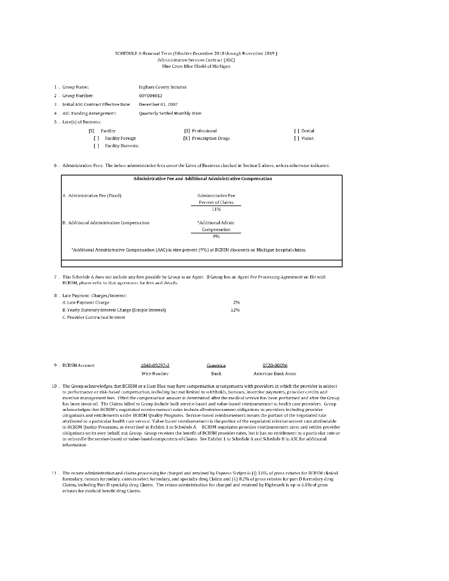#### SCHEDULE A-Renewal Term (Effective December 2018 through November 2019) Administrative Services Contract (ASC) Blue Cross Blue Shield of Michigan

| 1. Group Name:                          | <b>Ingham County Inmates</b>   |            |
|-----------------------------------------|--------------------------------|------------|
| 2. Group Number:                        | 007004013                      |            |
| 3. Initial ASC Contract Effective Date: | December 01, 2007              |            |
| 4. ASC Funding Arrangement:             | Quarterly Settled Monthly Wire |            |
| 5. Line(s) of Business:                 |                                |            |
| ľХ<br>Facility                          | [X] Professional               | [ ] Dental |
| <b>Facility Foreign</b>                 | [X] Prescription Drugs         | [ ] Vision |
| Facility Domestic                       |                                |            |

6. Administrative Fees: The below administrative fees cover the Lines of Business checked in Section 5 above, unless otherwise indicated.

| Administrative Fee and Additional Administrative Compensation                                                      |                    |  |  |  |  |  |  |
|--------------------------------------------------------------------------------------------------------------------|--------------------|--|--|--|--|--|--|
| A. Administrative Fee (Fixed)                                                                                      | Administrative Fee |  |  |  |  |  |  |
|                                                                                                                    | Percent of Claims  |  |  |  |  |  |  |
|                                                                                                                    | 11%                |  |  |  |  |  |  |
| B. Additional Administrative Compensation                                                                          | *Additional Admin  |  |  |  |  |  |  |
|                                                                                                                    | Compensation       |  |  |  |  |  |  |
|                                                                                                                    | 9%                 |  |  |  |  |  |  |
| *Additional Administrative Compensation (AAC) is nine percent (9%) of BCBSM discounts on Michigar hospital claims. |                    |  |  |  |  |  |  |

7. This Schedule A does not include any fees payable by Group to an Agent. If Group has an Agent Fee Processing Agreement on file with BCBSM, please refer to that agreement for fees and details.

| 8. Late Payment Charges/Interest:                     |     |
|-------------------------------------------------------|-----|
| A. Late Payment Charge                                | 2%  |
| B. Yearly Statutory Interest Charge (Simple Interest) | 12% |
| C. Provider Contractual Interest                      |     |

| 9 . BCBSM Account:<br>1840-09397-3 |             | Comerica | 0720-00096          |
|------------------------------------|-------------|----------|---------------------|
|                                    | Wire Number | Bank     | American Bank Assoc |

- 10. The Group acknowledges that BCBSM or a Host Blue may have compensation arrangements with providers in which the provider is subject to performance or risk-based compensation, including but not limited to withholds, bonuses, incentive payments, provider credits and member management fees. Often the compensation amount is determined after the medical service has been performed and after the Group has been invoiced. The Claims billed to Group include both service-based and value-based reimbursement to health care providers. Group acknowledges that BCBSM's negotiated reimbursement rates include all reimbursement obligations to providers including provider obligations and entitlements under BCBSM Quality Programs. Service-based reimbursement means the portion of the negotiated rate attributed to a particular health care service. Value-based reimbursement is the portior of the negotiated reimbursement rate attributable to BCBSM Quality Programs, as described in Exhibit 1 to Schedule A. BCBSM negotiates provider reimbursement rates and settles provider obligations on its own behalf, not Group. Group receives the benefit of BCBSM provider rates, but it has no entitlement to a particular rate or to unbundle the service-based or value-based components of Claims. See Exhibit 1 to Schedule A and Schedule B to ASC for additional information.
- 11 . The rebate administration and claims processing fee charged and retained by Express Scripts is (i) 3.8% of gross rebates for BCBSM clinical formulary, custom formulary, custom select formulary, and specialty drug Claims and (ii) 8.2% of gross rebates for part D formulary drug Claims, including Part D specialty drug Claims. The rebate administration fee charged and retained by Highmark is up to 5.5% of gross rebates for medical benefit drug Claims.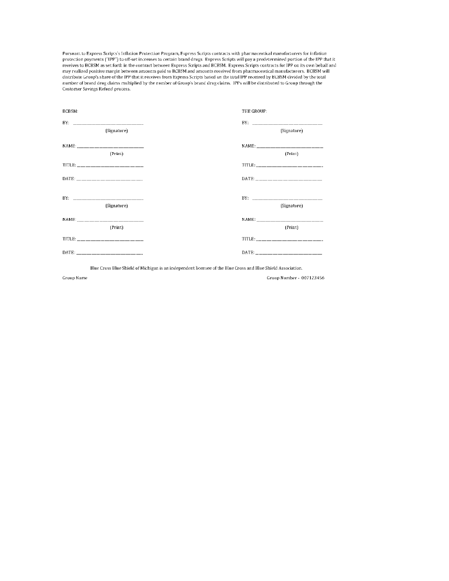Pursuant to Express Scripts's Inflation Protection Program, Express Scripts contracts with pharmaceutical manufacturers for inflation<br>protection payments ("IPP") to off-set increases to certain brand drugs. Express Scripts Customer Savings Refund process.

| BCBSM: |                                   | THE GROUP: |                         |
|--------|-----------------------------------|------------|-------------------------|
|        | BY: __________________________    |            |                         |
|        | (Signature)                       |            | (Signature)             |
|        | NAME: ___________________________ |            |                         |
|        | (Print)                           |            | (Print)                 |
|        | TITLE: ___________________        |            |                         |
|        |                                   |            | DATE: _________________ |
|        |                                   |            | $BY:$ $$                |
|        | (Signature)                       |            | (Signature)             |
|        |                                   |            |                         |
|        | (Print)                           |            | (Print)                 |
|        |                                   |            |                         |
|        |                                   |            |                         |

Blue Cross Blue Shield of Michigan is an independent licensee of the Blue Cross and Blue Shield Association.

Group Name

Group Number - 007123456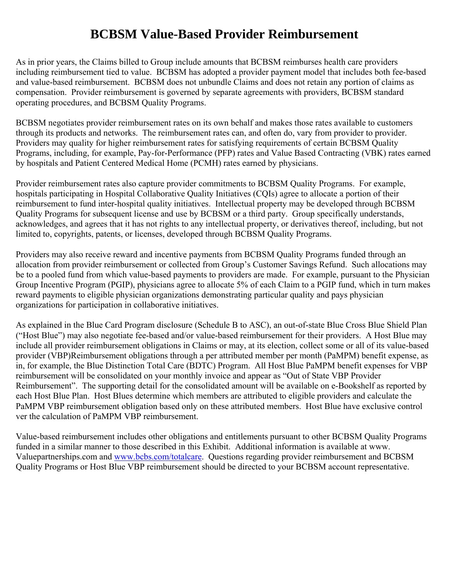# **BCBSM Value-Based Provider Reimbursement**

As in prior years, the Claims billed to Group include amounts that BCBSM reimburses health care providers including reimbursement tied to value. BCBSM has adopted a provider payment model that includes both fee-based and value-based reimbursement. BCBSM does not unbundle Claims and does not retain any portion of claims as compensation. Provider reimbursement is governed by separate agreements with providers, BCBSM standard operating procedures, and BCBSM Quality Programs.

BCBSM negotiates provider reimbursement rates on its own behalf and makes those rates available to customers through its products and networks. The reimbursement rates can, and often do, vary from provider to provider. Providers may quality for higher reimbursement rates for satisfying requirements of certain BCBSM Quality Programs, including, for example, Pay-for-Performance (PFP) rates and Value Based Contracting (VBK) rates earned by hospitals and Patient Centered Medical Home (PCMH) rates earned by physicians.

Provider reimbursement rates also capture provider commitments to BCBSM Quality Programs. For example, hospitals participating in Hospital Collaborative Quality Initiatives (CQIs) agree to allocate a portion of their reimbursement to fund inter-hospital quality initiatives. Intellectual property may be developed through BCBSM Quality Programs for subsequent license and use by BCBSM or a third party. Group specifically understands, acknowledges, and agrees that it has not rights to any intellectual property, or derivatives thereof, including, but not limited to, copyrights, patents, or licenses, developed through BCBSM Quality Programs.

Providers may also receive reward and incentive payments from BCBSM Quality Programs funded through an allocation from provider reimbursement or collected from Group's Customer Savings Refund. Such allocations may be to a pooled fund from which value-based payments to providers are made. For example, pursuant to the Physician Group Incentive Program (PGIP), physicians agree to allocate 5% of each Claim to a PGIP fund, which in turn makes reward payments to eligible physician organizations demonstrating particular quality and pays physician organizations for participation in collaborative initiatives.

As explained in the Blue Card Program disclosure (Schedule B to ASC), an out-of-state Blue Cross Blue Shield Plan ("Host Blue") may also negotiate fee-based and/or value-based reimbursement for their providers. A Host Blue may include all provider reimbursement obligations in Claims or may, at its election, collect some or all of its value-based provider (VBP)Reimbursement obligations through a per attributed member per month (PaMPM) benefit expense, as in, for example, the Blue Distinction Total Care (BDTC) Program. All Host Blue PaMPM benefit expenses for VBP reimbursement will be consolidated on your monthly invoice and appear as "Out of State VBP Provider Reimbursement". The supporting detail for the consolidated amount will be available on e-Bookshelf as reported by each Host Blue Plan. Host Blues determine which members are attributed to eligible providers and calculate the PaMPM VBP reimbursement obligation based only on these attributed members. Host Blue have exclusive control ver the calculation of PaMPM VBP reimbursement.

Value-based reimbursement includes other obligations and entitlements pursuant to other BCBSM Quality Programs funded in a similar manner to those described in this Exhibit. Additional information is available at www. Valuepartnerships.com and www.bcbs.com/totalcare. Questions regarding provider reimbursement and BCBSM Quality Programs or Host Blue VBP reimbursement should be directed to your BCBSM account representative.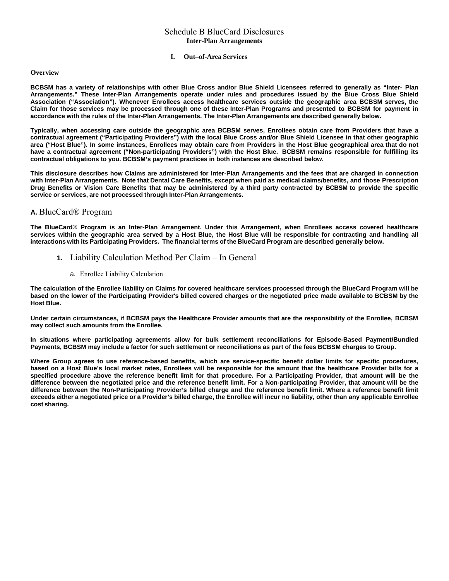### Schedule B BlueCard Disclosures **Inter-Plan Arrangements**

#### **I. Out–of-Area Services**

#### **Overview**

**BCBSM has a variety of relationships with other Blue Cross and/or Blue Shield Licensees referred to generally as "Inter- Plan Arrangements." These Inter-Plan Arrangements operate under rules and procedures issued by the Blue Cross Blue Shield Association ("Association"). Whenever Enrollees access healthcare services outside the geographic area BCBSM serves, the Claim for those services may be processed through one of these Inter-Plan Programs and presented to BCBSM for payment in accordance with the rules of the Inter-Plan Arrangements. The Inter-Plan Arrangements are described generally below.** 

**Typically, when accessing care outside the geographic area BCBSM serves, Enrollees obtain care from Providers that have a contractual agreement ("Participating Providers") with the local Blue Cross and/or Blue Shield Licensee in that other geographic area ("Host Blue"). In some instances, Enrollees may obtain care from Providers in the Host Blue geographical area that do not have a contractual agreement ("Non-participating Providers") with the Host Blue. BCBSM remains responsible for fulfilling its contractual obligations to you. BCBSM's payment practices in both instances are described below.** 

**This disclosure describes how Claims are administered for Inter-Plan Arrangements and the fees that are charged in connection with Inter-Plan Arrangements. Note that Dental Care Benefits, except when paid as medical claims/benefits, and those Prescription Drug Benefits or Vision Care Benefits that may be administered by a third party contracted by BCBSM to provide the specific service or services, are not processed through Inter-Plan Arrangements.** 

### **A.** BlueCard® Program

**The BlueCard**® **Program is an Inter-Plan Arrangement. Under this Arrangement, when Enrollees access covered healthcare services within the geographic area served by a Host Blue, the Host Blue will be responsible for contracting and handling all interactions with its Participating Providers. The financial terms of the BlueCard Program are described generally below.** 

### **1.** Liability Calculation Method Per Claim – In General

a. Enrollee Liability Calculation

**The calculation of the Enrollee liability on Claims for covered healthcare services processed through the BlueCard Program will be based on the lower of the Participating Provider's billed covered charges or the negotiated price made available to BCBSM by the Host Blue.** 

**Under certain circumstances, if BCBSM pays the Healthcare Provider amounts that are the responsibility of the Enrollee, BCBSM may collect such amounts from the Enrollee.** 

**In situations where participating agreements allow for bulk settlement reconciliations for Episode-Based Payment/Bundled Payments, BCBSM may include a factor for such settlement or reconciliations as part of the fees BCBSM charges to Group.** 

**Where Group agrees to use reference-based benefits, which are service-specific benefit dollar limits for specific procedures, based on a Host Blue's local market rates, Enrollees will be responsible for the amount that the healthcare Provider bills for a specified procedure above the reference benefit limit for that procedure. For a Participating Provider, that amount will be the difference between the negotiated price and the reference benefit limit. For a Non-participating Provider, that amount will be the difference between the Non-Participating Provider's billed charge and the reference benefit limit. Where a reference benefit limit exceeds either a negotiated price or a Provider's billed charge, the Enrollee will incur no liability, other than any applicable Enrollee cost sharing.**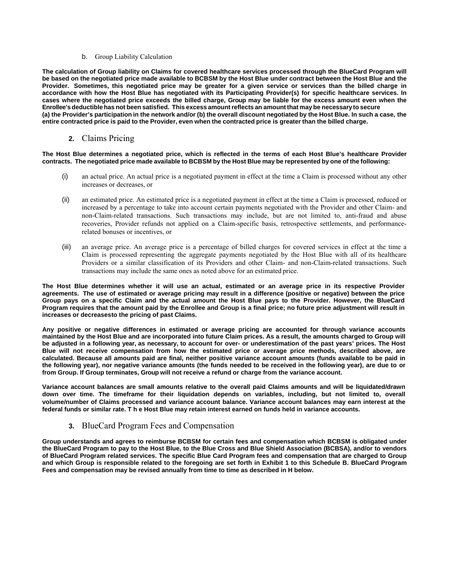#### b. Group Liability Calculation

**The calculation of Group liability on Claims for covered healthcare services processed through the BlueCard Program will be based on the negotiated price made available to BCBSM by the Host Blue under contract between the Host Blue and the Provider. Sometimes, this negotiated price may be greater for a given service or services than the billed charge in accordance with how the Host Blue has negotiated with its Participating Provider(s) for specific healthcare services. In cases where the negotiated price exceeds the billed charge, Group may be liable for the excess amount even when the Enrollee's deductible has not been satisfied. This excess amount reflects an amount that may be necessary to secure (a) the Provider's participation in the network and/or (b) the overall discount negotiated by the Host Blue. In such a case, the entire contracted price is paid to the Provider, even when the contracted price is greater than the billed charge.** 

### **2.** Claims Pricing

**The Host Blue determines a negotiated price, which is reflected in the terms of each Host Blue's healthcare Provider contracts. The negotiated price made available to BCBSM by the Host Blue may be represented by one of the following:** 

- (i) an actual price. An actual price is a negotiated payment in effect at the time a Claim is processed without any other increases or decreases, or
- (ii) an estimated price. An estimated price is a negotiated payment in effect at the time a Claim is processed, reduced or increased by a percentage to take into account certain payments negotiated with the Provider and other Claim- and non-Claim-related transactions. Such transactions may include, but are not limited to, anti-fraud and abuse recoveries, Provider refunds not applied on a Claim-specific basis, retrospective settlements, and performancerelated bonuses or incentives, or
- (iii) an average price. An average price is a percentage of billed charges for covered services in effect at the time a Claim is processed representing the aggregate payments negotiated by the Host Blue with all of its healthcare Providers or a similar classification of its Providers and other Claim- and non-Claim-related transactions. Such transactions may include the same ones as noted above for an estimated price.

**The Host Blue determines whether it will use an actual, estimated or an average price in its respective Provider agreements. The use of estimated or average pricing may result in a difference (positive or negative) between the price Group pays on a specific Claim and the actual amount the Host Blue pays to the Provider. However, the BlueCard Program requires that the amount paid by the Enrollee and Group is a final price; no future price adjustment will result in increases or decreases to the pricing of past Claims.** 

**Any positive or negative differences in estimated or average pricing are accounted for through variance accounts maintained by the Host Blue and are incorporated into future Claim prices. As a result, the amounts charged to Group will be adjusted in a following year, as necessary, to account for over- or underestimation of the past years' prices. The Host Blue will not receive compensation from how the estimated price or average price methods, described above, are calculated. Because all amounts paid are final, neither positive variance account amounts (funds available to be paid in the following year), nor negative variance amounts (the funds needed to be received in the following year), are due to or from Group. If Group terminates, Group will not receive a refund or charge from the variance account.** 

**Variance account balances are small amounts relative to the overall paid Claims amounts and will be liquidated/drawn down over time. The timeframe for their liquidation depends on variables, including, but not limited to, overall volume/number of Claims processed and variance account balance. Variance account balances may earn interest at the federal funds or similar rate. T h e Host Blue may retain interest earned on funds held in variance accounts.** 

### **3.** BlueCard Program Fees and Compensation

**Group understands and agrees to reimburse BCBSM for certain fees and compensation which BCBSM is obligated under the BlueCard Program to pay to the Host Blue, to the Blue Cross and Blue Shield Association (BCBSA), and/or to vendors of BlueCard Program related services. The specific Blue Card Program fees and compensation that are charged to Group and which Group is responsible related to the foregoing are set forth in Exhibit 1 to this Schedule B. BlueCard Program Fees and compensation may be revised annually from time to time as described in H below.**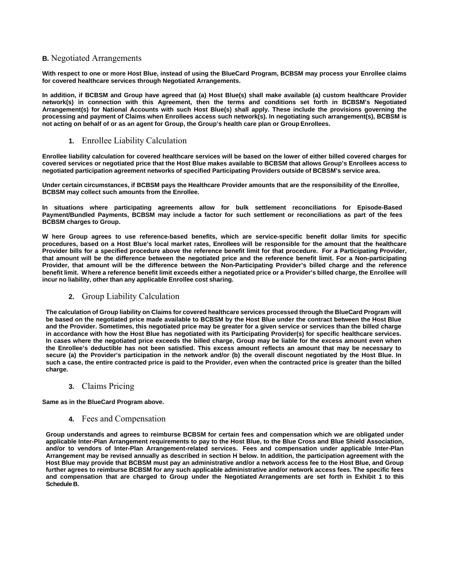### **B.** Negotiated Arrangements

**With respect to one or more Host Blue, instead of using the BlueCard Program, BCBSM may process your Enrollee claims for covered healthcare services through Negotiated Arrangements.** 

**In addition, if BCBSM and Group have agreed that (a) Host Blue(s) shall make available (a) custom healthcare Provider network(s) in connection with this Agreement, then the terms and conditions set forth in BCBSM's Negotiated Arrangement(s) for National Accounts with such Host Blue(s) shall apply. These include the provisions governing the processing and payment of Claims when Enrollees access such network(s). In negotiating such arrangement(s), BCBSM is not acting on behalf of or as an agent for Group, the Group's health care plan or Group Enrollees.** 

### **1.** Enrollee Liability Calculation

**Enrollee liability calculation for covered healthcare services will be based on the lower of either billed covered charges for covered services or negotiated price that the Host Blue makes available to BCBSM that allows Group's Enrollees access to negotiated participation agreement networks of specified Participating Providers outside of BCBSM's service area.** 

**Under certain circumstances, if BCBSM pays the Healthcare Provider amounts that are the responsibility of the Enrollee, BCBSM may collect such amounts from the Enrollee.** 

**In situations where participating agreements allow for bulk settlement reconciliations for Episode-Based Payment/Bundled Payments, BCBSM may include a factor for such settlement or reconciliations as part of the fees BCBSM charges to Group.** 

**W here Group agrees to use reference-based benefits, which are service-specific benefit dollar limits for specific procedures, based on a Host Blue's local market rates, Enrollees will be responsible for the amount that the healthcare Provider bills for a specified procedure above the reference benefit limit for that procedure. For a Participating Provider, that amount will be the difference between the negotiated price and the reference benefit limit. For a Non-participating Provider, that amount will be the difference between the Non-Participating Provider's billed charge and the reference benefit limit. W here a reference benefit limit exceeds either a negotiated price or a Provider's billed charge, the Enrollee will incur no liability, other than any applicable Enrollee cost sharing.** 

### **2.** Group Liability Calculation

**The calculation of Group liability on Claims for covered healthcare services processed through the BlueCard Program will be based on the negotiated price made available to BCBSM by the Host Blue under the contract between the Host Blue and the Provider. Sometimes, this negotiated price may be greater for a given service or services than the billed charge in accordance with how the Host Blue has negotiated with its Participating Provider(s) for specific healthcare services. In cases where the negotiated price exceeds the billed charge, Group may be liable for the excess amount even when the Enrollee's deductible has not been satisfied. This excess amount reflects an amount that may be necessary to secure (a) the Provider's participation in the network and/or (b) the overall discount negotiated by the Host Blue. In such a case, the entire contracted price is paid to the Provider, even when the contracted price is greater than the billed charge.** 

#### **3.** Claims Pricing

**Same as in the BlueCard Program above.** 

#### **4.** Fees and Compensation

**Group understands and agrees to reimburse BCBSM for certain fees and compensation which we are obligated under applicable Inter-Plan Arrangement requirements to pay to the Host Blue, to the Blue Cross and Blue Shield Association, and/or to vendors of Inter-Plan Arrangement-related services. Fees and compensation under applicable Inter-Plan Arrangement may be revised annually as described in section H below. In addition, the participation agreement with the Host Blue may provide that BCBSM must pay an administrative and/or a network access fee to the Host Blue, and Group further agrees to reimburse BCBSM for any such applicable administrative and/or network access fees. The specific fees and compensation that are charged to Group under the Negotiated Arrangements are set forth in Exhibit 1 to this Schedule B.**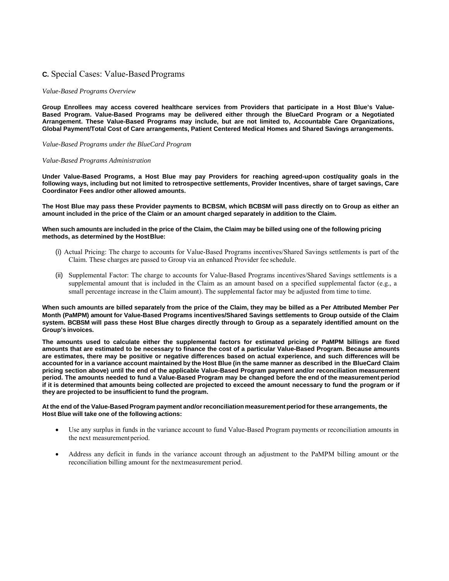### **C.** Special Cases: Value-Based Programs

#### *Value-Based Programs Overview*

**Group Enrollees may access covered healthcare services from Providers that participate in a Host Blue's Value-Based Program. Value-Based Programs may be delivered either through the BlueCard Program or a Negotiated Arrangement. These Value-Based Programs may include, but are not limited to, Accountable Care Organizations, Global Payment/Total Cost of Care arrangements, Patient Centered Medical Homes and Shared Savings arrangements.** 

*Value-Based Programs under the BlueCard Program* 

#### *Value-Based Programs Administration*

**Under Value-Based Programs, a Host Blue may pay Providers for reaching agreed-upon cost/quality goals in the following ways, including but not limited to retrospective settlements, Provider Incentives, share of target savings, Care Coordinator Fees and/or other allowed amounts.** 

**The Host Blue may pass these Provider payments to BCBSM, which BCBSM will pass directly on to Group as either an amount included in the price of the Claim or an amount charged separately in addition to the Claim.** 

#### **When such amounts are included in the price of the Claim, the Claim may be billed using one of the following pricing methods, as determined by the Host Blue:**

- (i) Actual Pricing: The charge to accounts for Value-Based Programs incentives/Shared Savings settlements is part of the Claim. These charges are passed to Group via an enhanced Provider fee schedule.
- (ii) Supplemental Factor: The charge to accounts for Value-Based Programs incentives/Shared Savings settlements is a supplemental amount that is included in the Claim as an amount based on a specified supplemental factor (e.g., a small percentage increase in the Claim amount). The supplemental factor may be adjusted from time to time.

**When such amounts are billed separately from the price of the Claim, they may be billed as a Per Attributed Member Per Month (PaMPM) amount for Value-Based Programs incentives/Shared Savings settlements to Group outside of the Claim system. BCBSM will pass these Host Blue charges directly through to Group as a separately identified amount on the Group's invoices.** 

**The amounts used to calculate either the supplemental factors for estimated pricing or PaMPM billings are fixed amounts that are estimated to be necessary to finance the cost of a particular Value-Based Program. Because amounts are estimates, there may be positive or negative differences based on actual experience, and such differences will be accounted for in a variance account maintained by the Host Blue (in the same manner as described in the BlueCard Claim pricing section above) until the end of the applicable Value-Based Program payment and/or reconciliation measurement period. The amounts needed to fund a Value-Based Program may be changed before the end of the measurement period if it is determined that amounts being collected are projected to exceed the amount necessary to fund the program or if they are projected to be insufficient to fund the program.** 

#### **At the end of the Value-Based Program payment and/or reconciliation measurement period for these arrangements, the Host Blue will take one of the following actions:**

- Use any surplus in funds in the variance account to fund Value-Based Program payments or reconciliation amounts in the next measurement period.
- Address any deficit in funds in the variance account through an adjustment to the PaMPM billing amount or the reconciliation billing amount for the next measurement period.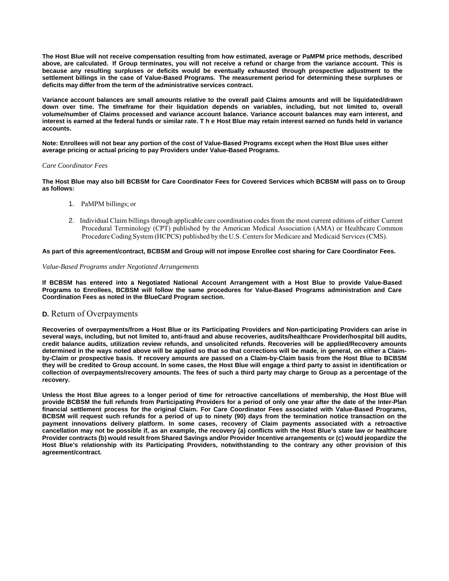**The Host Blue will not receive compensation resulting from how estimated, average or PaMPM price methods, described above, are calculated. If Group terminates, you will not receive a refund or charge from the variance account. This is because any resulting surpluses or deficits would be eventually exhausted through prospective adjustment to the settlement billings in the case of Value-Based Programs. The measurement period for determining these surpluses or deficits may differ from the term of the administrative services contract.** 

**Variance account balances are small amounts relative to the overall paid Claims amounts and will be liquidated/drawn down over time. The timeframe for their liquidation depends on variables, including, but not limited to, overall volume/number of Claims processed and variance account balance. Variance account balances may earn interest, and interest is earned at the federal funds or similar rate. T h e Host Blue may retain interest earned on funds held in variance accounts.** 

**Note: Enrollees will not bear any portion of the cost of Value-Based Programs except when the Host Blue uses either average pricing or actual pricing to pay Providers under Value-Based Programs.** 

#### *Care Coordinator Fees*

**The Host Blue may also bill BCBSM for Care Coordinator Fees for Covered Services which BCBSM will pass on to Group as follows:** 

- 1. PaMPM billings; or
- 2. Individual Claim billings through applicable care coordination codes from the most current editions of either Current Procedural Terminology (CPT) published by the American Medical Association (AMA) or Healthcare Common Procedure Coding System (HCPCS) published by the U.S. Centers for Medicare and Medicaid Services (CMS).

#### **As part of this agreement/contract, BCBSM and Group will not impose Enrollee cost sharing for Care Coordinator Fees.**

#### *Value-Based Programs under Negotiated Arrangements*

**If BCBSM has entered into a Negotiated National Account Arrangement with a Host Blue to provide Value-Based Programs to Enrollees, BCBSM will follow the same procedures for Value-Based Programs administration and Care Coordination Fees as noted in the BlueCard Program section.** 

### **D.** Return of Overpayments

**Recoveries of overpayments/from a Host Blue or its Participating Providers and Non-participating Providers can arise in several ways, including, but not limited to, anti-fraud and abuse recoveries, audits/healthcare Provider/hospital bill audits, credit balance audits, utilization review refunds, and unsolicited refunds. Recoveries will be applied/Recovery amounts determined in the ways noted above will be applied so that so that corrections will be made, in general, on either a Claimby-Claim or prospective basis. If recovery amounts are passed on a Claim-by-Claim basis from the Host Blue to BCBSM they will be credited to Group account. In some cases, the Host Blue will engage a third party to assist in identification or collection of overpayments/recovery amounts. The fees of such a third party may charge to Group as a percentage of the recovery.** 

**Unless the Host Blue agrees to a longer period of time for retroactive cancellations of membership, the Host Blue will provide BCBSM the full refunds from Participating Providers for a period of only one year after the date of the Inter-Plan financial settlement process for the original Claim. For Care Coordinator Fees associated with Value-Based Programs, BCBSM will request such refunds for a period of up to ninety (90) days from the termination notice transaction on the payment innovations delivery platform. In some cases, recovery of Claim payments associated with a retroactive cancellation may not be possible if, as an example, the recovery (a) conflicts with the Host Blue's state law or healthcare Provider contracts (b) would result from Shared Savings and/or Provider Incentive arrangements or (c) would jeopardize the Host Blue's relationship with its Participating Providers, notwithstanding to the contrary any other provision of this agreement/contract.**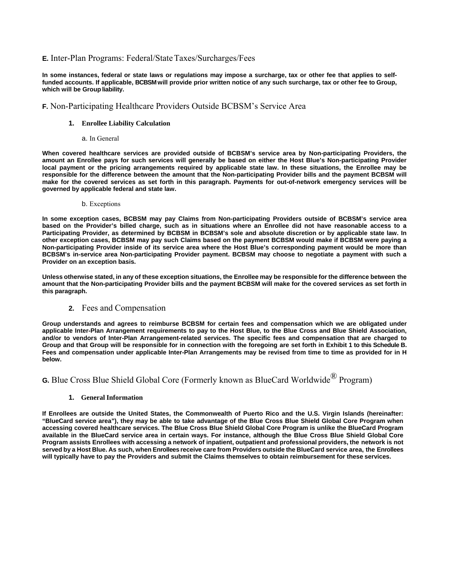### **E.** Inter-Plan Programs: Federal/State Taxes/Surcharges/Fees

**In some instances, federal or state laws or regulations may impose a surcharge, tax or other fee that applies to selffunded accounts. If applicable, BCBSM will provide prior written notice of any such surcharge, tax or other fee to Group, which will be Group liability.** 

### **F.** Non-Participating Healthcare Providers Outside BCBSM's Service Area

- **1. Enrollee Liability Calculation** 
	- a. In General

**When covered healthcare services are provided outside of BCBSM's service area by Non-participating Providers, the amount an Enrollee pays for such services will generally be based on either the Host Blue's Non-participating Provider local payment or the pricing arrangements required by applicable state law. In these situations, the Enrollee may be responsible for the difference between the amount that the Non-participating Provider bills and the payment BCBSM will make for the covered services as set forth in this paragraph. Payments for out-of-network emergency services will be governed by applicable federal and state law.** 

b. Exceptions

**In some exception cases, BCBSM may pay Claims from Non-participating Providers outside of BCBSM's service area based on the Provider's billed charge, such as in situations where an Enrollee did not have reasonable access to a Participating Provider, as determined by BCBSM in BCBSM's sole and absolute discretion or by applicable state law. In other exception cases, BCBSM may pay such Claims based on the payment BCBSM would make if BCBSM were paying a Non-participating Provider inside of its service area where the Host Blue's corresponding payment would be more than BCBSM's in-service area Non-participating Provider payment. BCBSM may choose to negotiate a payment with such a Provider on an exception basis.** 

**Unless otherwise stated, in any of these exception situations, the Enrollee may be responsible for the difference between the amount that the Non-participating Provider bills and the payment BCBSM will make for the covered services as set forth in this paragraph.** 

### **2.** Fees and Compensation

**Group understands and agrees to reimburse BCBSM for certain fees and compensation which we are obligated under applicable Inter-Plan Arrangement requirements to pay to the Host Blue, to the Blue Cross and Blue Shield Association, and/or to vendors of Inter-Plan Arrangement-related services. The specific fees and compensation that are charged to Group and that Group will be responsible for in connection with the foregoing are set forth in Exhibit 1 to this Schedule B. Fees and compensation under applicable Inter-Plan Arrangements may be revised from time to time as provided for in H below.** 

## **G.** Blue Cross Blue Shield Global Core (Formerly known as BlueCard Worldwide<sup>®</sup> Program)

#### **1. General Information**

**If Enrollees are outside the United States, the Commonwealth of Puerto Rico and the U.S. Virgin Islands (hereinafter: "BlueCard service area"), they may be able to take advantage of the Blue Cross Blue Shield Global Core Program when accessing covered healthcare services. The Blue Cross Blue Shield Global Core Program is unlike the BlueCard Program available in the BlueCard service area in certain ways. For instance, although the Blue Cross Blue Shield Global Core Program assists Enrollees with accessing a network of inpatient, outpatient and professional providers, the network is not served by a Host Blue. As such, when Enrollees receive care from Providers outside the BlueCard service area, the Enrollees will typically have to pay the Providers and submit the Claims themselves to obtain reimbursement for these services.**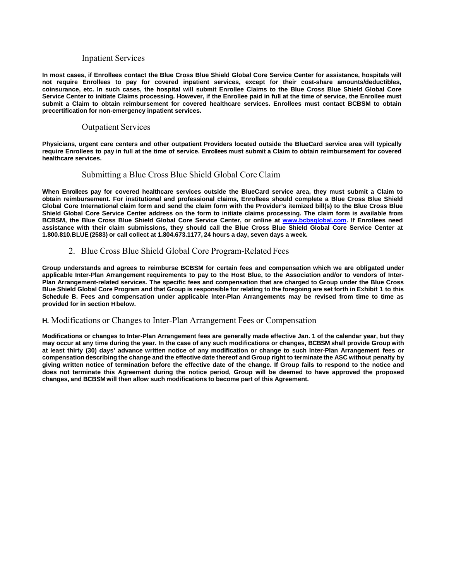#### Inpatient Services

**In most cases, if Enrollees contact the Blue Cross Blue Shield Global Core Service Center for assistance, hospitals will not require Enrollees to pay for covered inpatient services, except for their cost-share amounts/deductibles, coinsurance, etc. In such cases, the hospital will submit Enrollee Claims to the Blue Cross Blue Shield Global Core Service Center to initiate Claims processing. However, if the Enrollee paid in full at the time of service, the Enrollee must submit a Claim to obtain reimbursement for covered healthcare services. Enrollees must contact BCBSM to obtain precertification for non-emergency inpatient services.** 

### Outpatient Services

**Physicians, urgent care centers and other outpatient Providers located outside the BlueCard service area will typically require Enrollees to pay in full at the time of service. Enrollees must submit a Claim to obtain reimbursement for covered healthcare services.** 

### Submitting a Blue Cross Blue Shield Global Core Claim

**When Enrollees pay for covered healthcare services outside the BlueCard service area, they must submit a Claim to obtain reimbursement. For institutional and professional claims, Enrollees should complete a Blue Cross Blue Shield Global Core International claim form and send the claim form with the Provider's itemized bill(s) to the Blue Cross Blue Shield Global Core Service Center address on the form to initiate claims processing. The claim form is available from BCBSM, the Blue Cross Blue Shield Global Core Service Center, or online at www.bcbsglobal.com. If Enrollees need assistance with their claim submissions, they should call the Blue Cross Blue Shield Global Core Service Center at 1.800.810.BLUE (2583) or call collect at 1.804.673.1177, 24 hours a day, seven days a week.** 

### 2. Blue Cross Blue Shield Global Core Program-Related Fees

**Group understands and agrees to reimburse BCBSM for certain fees and compensation which we are obligated under applicable Inter-Plan Arrangement requirements to pay to the Host Blue, to the Association and/or to vendors of Inter-Plan Arrangement-related services. The specific fees and compensation that are charged to Group under the Blue Cross Blue Shield Global Core Program and that Group is responsible for relating to the foregoing are set forth in Exhibit 1 to this Schedule B. Fees and compensation under applicable Inter-Plan Arrangements may be revised from time to time as provided for in section H below.** 

### **H.** Modifications or Changes to Inter-Plan Arrangement Fees or Compensation

**Modifications or changes to Inter-Plan Arrangement fees are generally made effective Jan. 1 of the calendar year, but they may occur at any time during the year. In the case of any such modifications or changes, BCBSM shall provide Group with at least thirty (30) days' advance written notice of any modification or change to such Inter-Plan Arrangement fees or compensation describing the change and the effective date thereof and Group right to terminate the ASC without penalty by giving written notice of termination before the effective date of the change. If Group fails to respond to the notice and does not terminate this Agreement during the notice period, Group will be deemed to have approved the proposed changes, and BCBSM will then allow such modifications to become part of this Agreement.**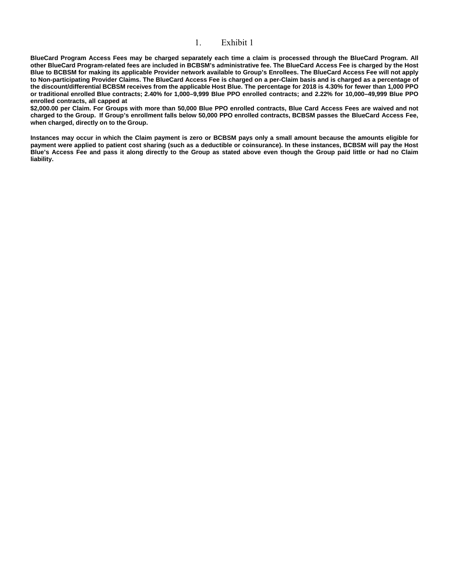### 1. Exhibit 1

**BlueCard Program Access Fees may be charged separately each time a claim is processed through the BlueCard Program. All other BlueCard Program-related fees are included in BCBSM's administrative fee. The BlueCard Access Fee is charged by the Host Blue to BCBSM for making its applicable Provider network available to Group's Enrollees. The BlueCard Access Fee will not apply to Non-participating Provider Claims. The BlueCard Access Fee is charged on a per-Claim basis and is charged as a percentage of the discount/differential BCBSM receives from the applicable Host Blue. The percentage for 2018 is 4.30% for fewer than 1,000 PPO or traditional enrolled Blue contracts; 2.40% for 1,000–9,999 Blue PPO enrolled contracts; and 2.22% for 10,000–49,999 Blue PPO enrolled contracts, all capped at** 

**\$2,000.00 per Claim. For Groups with more than 50,000 Blue PPO enrolled contracts, Blue Card Access Fees are waived and not charged to the Group. If Group's enrollment falls below 50,000 PPO enrolled contracts, BCBSM passes the BlueCard Access Fee, when charged, directly on to the Group.** 

**Instances may occur in which the Claim payment is zero or BCBSM pays only a small amount because the amounts eligible for payment were applied to patient cost sharing (such as a deductible or coinsurance). In these instances, BCBSM will pay the Host Blue's Access Fee and pass it along directly to the Group as stated above even though the Group paid little or had no Claim liability.**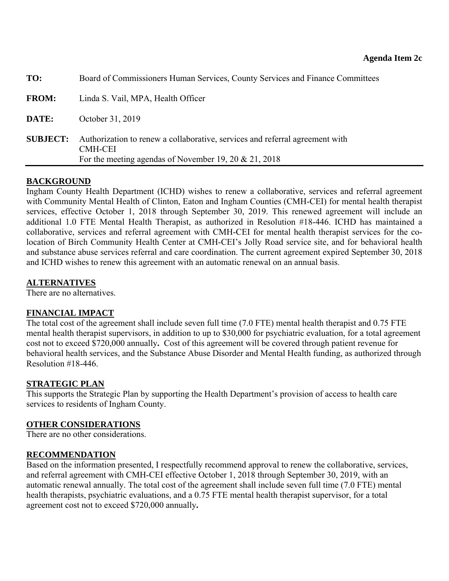<span id="page-24-0"></span>

| TO:             | Board of Commissioners Human Services, County Services and Finance Committees                                                                             |
|-----------------|-----------------------------------------------------------------------------------------------------------------------------------------------------------|
| <b>FROM:</b>    | Linda S. Vail, MPA, Health Officer                                                                                                                        |
| DATE:           | October 31, 2019                                                                                                                                          |
| <b>SUBJECT:</b> | Authorization to renew a collaborative, services and referral agreement with<br><b>CMH-CEI</b><br>For the meeting agendas of November 19, 20 $& 21, 2018$ |

## **BACKGROUND**

Ingham County Health Department (ICHD) wishes to renew a collaborative, services and referral agreement with Community Mental Health of Clinton, Eaton and Ingham Counties (CMH-CEI) for mental health therapist services, effective October 1, 2018 through September 30, 2019. This renewed agreement will include an additional 1.0 FTE Mental Health Therapist, as authorized in Resolution #18-446. ICHD has maintained a collaborative, services and referral agreement with CMH-CEI for mental health therapist services for the colocation of Birch Community Health Center at CMH-CEI's Jolly Road service site, and for behavioral health and substance abuse services referral and care coordination. The current agreement expired September 30, 2018 and ICHD wishes to renew this agreement with an automatic renewal on an annual basis.

## **ALTERNATIVES**

There are no alternatives.

## **FINANCIAL IMPACT**

The total cost of the agreement shall include seven full time (7.0 FTE) mental health therapist and 0.75 FTE mental health therapist supervisors, in addition to up to \$30,000 for psychiatric evaluation, for a total agreement cost not to exceed \$720,000 annually**.** Cost of this agreement will be covered through patient revenue for behavioral health services, and the Substance Abuse Disorder and Mental Health funding, as authorized through Resolution #18-446.

## **STRATEGIC PLAN**

This supports the Strategic Plan by supporting the Health Department's provision of access to health care services to residents of Ingham County.

## **OTHER CONSIDERATIONS**

There are no other considerations.

## **RECOMMENDATION**

Based on the information presented, I respectfully recommend approval to renew the collaborative, services, and referral agreement with CMH-CEI effective October 1, 2018 through September 30, 2019, with an automatic renewal annually. The total cost of the agreement shall include seven full time (7.0 FTE) mental health therapists, psychiatric evaluations, and a 0.75 FTE mental health therapist supervisor, for a total agreement cost not to exceed \$720,000 annually**.**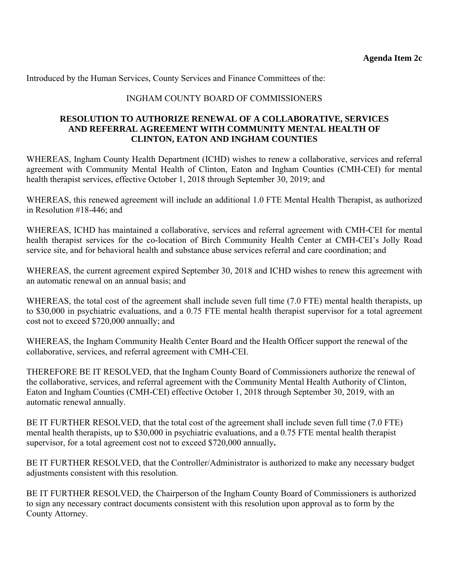Introduced by the Human Services, County Services and Finance Committees of the:

## INGHAM COUNTY BOARD OF COMMISSIONERS

## **RESOLUTION TO AUTHORIZE RENEWAL OF A COLLABORATIVE, SERVICES AND REFERRAL AGREEMENT WITH COMMUNITY MENTAL HEALTH OF CLINTON, EATON AND INGHAM COUNTIES**

WHEREAS, Ingham County Health Department (ICHD) wishes to renew a collaborative, services and referral agreement with Community Mental Health of Clinton, Eaton and Ingham Counties (CMH-CEI) for mental health therapist services, effective October 1, 2018 through September 30, 2019; and

WHEREAS, this renewed agreement will include an additional 1.0 FTE Mental Health Therapist, as authorized in Resolution #18-446; and

WHEREAS, ICHD has maintained a collaborative, services and referral agreement with CMH-CEI for mental health therapist services for the co-location of Birch Community Health Center at CMH-CEI's Jolly Road service site, and for behavioral health and substance abuse services referral and care coordination; and

WHEREAS, the current agreement expired September 30, 2018 and ICHD wishes to renew this agreement with an automatic renewal on an annual basis; and

WHEREAS, the total cost of the agreement shall include seven full time (7.0 FTE) mental health therapists, up to \$30,000 in psychiatric evaluations, and a 0.75 FTE mental health therapist supervisor for a total agreement cost not to exceed \$720,000 annually; and

WHEREAS, the Ingham Community Health Center Board and the Health Officer support the renewal of the collaborative, services, and referral agreement with CMH-CEI.

THEREFORE BE IT RESOLVED, that the Ingham County Board of Commissioners authorize the renewal of the collaborative, services, and referral agreement with the Community Mental Health Authority of Clinton, Eaton and Ingham Counties (CMH-CEI) effective October 1, 2018 through September 30, 2019, with an automatic renewal annually.

BE IT FURTHER RESOLVED, that the total cost of the agreement shall include seven full time (7.0 FTE) mental health therapists, up to \$30,000 in psychiatric evaluations, and a 0.75 FTE mental health therapist supervisor, for a total agreement cost not to exceed \$720,000 annually**.** 

BE IT FURTHER RESOLVED, that the Controller/Administrator is authorized to make any necessary budget adjustments consistent with this resolution.

BE IT FURTHER RESOLVED, the Chairperson of the Ingham County Board of Commissioners is authorized to sign any necessary contract documents consistent with this resolution upon approval as to form by the County Attorney.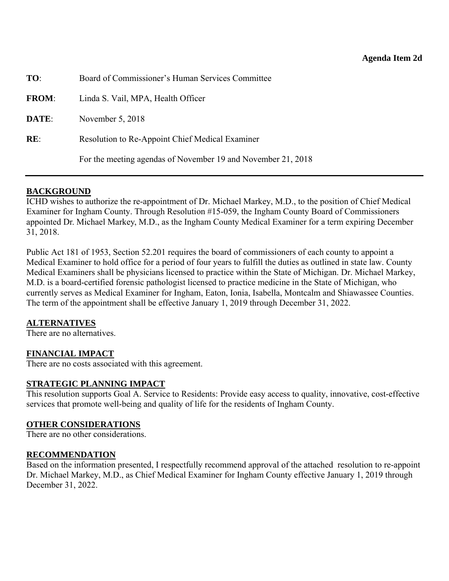<span id="page-26-0"></span>

| TO:          | Board of Commissioner's Human Services Committee             |
|--------------|--------------------------------------------------------------|
| <b>FROM:</b> | Linda S. Vail, MPA, Health Officer                           |
| DATE:        | November $5, 2018$                                           |
| RE:          | Resolution to Re-Appoint Chief Medical Examiner              |
|              | For the meeting agendas of November 19 and November 21, 2018 |

## **BACKGROUND**

ICHD wishes to authorize the re-appointment of Dr. Michael Markey, M.D., to the position of Chief Medical Examiner for Ingham County. Through Resolution #15-059, the Ingham County Board of Commissioners appointed Dr. Michael Markey, M.D., as the Ingham County Medical Examiner for a term expiring December 31, 2018.

Public Act 181 of 1953, Section 52.201 requires the board of commissioners of each county to appoint a Medical Examiner to hold office for a period of four years to fulfill the duties as outlined in state law. County Medical Examiners shall be physicians licensed to practice within the State of Michigan. Dr. Michael Markey, M.D. is a board-certified forensic pathologist licensed to practice medicine in the State of Michigan, who currently serves as Medical Examiner for Ingham, Eaton, Ionia, Isabella, Montcalm and Shiawassee Counties. The term of the appointment shall be effective January 1, 2019 through December 31, 2022.

## **ALTERNATIVES**

There are no alternatives.

## **FINANCIAL IMPACT**

There are no costs associated with this agreement.

## **STRATEGIC PLANNING IMPACT**

This resolution supports Goal A. Service to Residents: Provide easy access to quality, innovative, cost-effective services that promote well-being and quality of life for the residents of Ingham County.

## **OTHER CONSIDERATIONS**

There are no other considerations.

## **RECOMMENDATION**

Based on the information presented, I respectfully recommend approval of the attached resolution to re-appoint Dr. Michael Markey, M.D., as Chief Medical Examiner for Ingham County effective January 1, 2019 through December 31, 2022.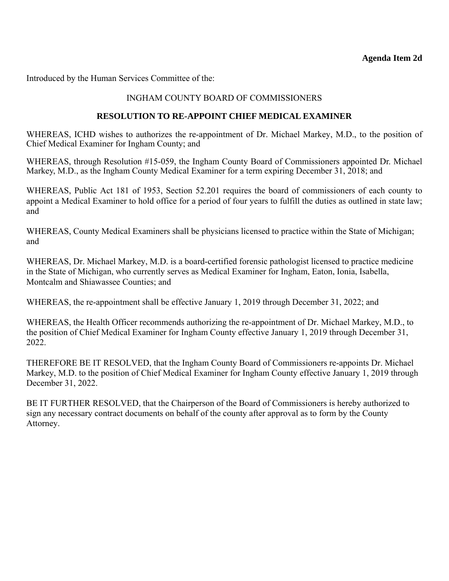Introduced by the Human Services Committee of the:

## INGHAM COUNTY BOARD OF COMMISSIONERS

## **RESOLUTION TO RE-APPOINT CHIEF MEDICAL EXAMINER**

WHEREAS, ICHD wishes to authorizes the re-appointment of Dr. Michael Markey, M.D., to the position of Chief Medical Examiner for Ingham County; and

WHEREAS, through Resolution #15-059, the Ingham County Board of Commissioners appointed Dr. Michael Markey, M.D., as the Ingham County Medical Examiner for a term expiring December 31, 2018; and

WHEREAS, Public Act 181 of 1953, Section 52.201 requires the board of commissioners of each county to appoint a Medical Examiner to hold office for a period of four years to fulfill the duties as outlined in state law; and

WHEREAS, County Medical Examiners shall be physicians licensed to practice within the State of Michigan; and

WHEREAS, Dr. Michael Markey, M.D. is a board-certified forensic pathologist licensed to practice medicine in the State of Michigan, who currently serves as Medical Examiner for Ingham, Eaton, Ionia, Isabella, Montcalm and Shiawassee Counties; and

WHEREAS, the re-appointment shall be effective January 1, 2019 through December 31, 2022; and

WHEREAS, the Health Officer recommends authorizing the re-appointment of Dr. Michael Markey, M.D., to the position of Chief Medical Examiner for Ingham County effective January 1, 2019 through December 31, 2022.

THEREFORE BE IT RESOLVED, that the Ingham County Board of Commissioners re-appoints Dr. Michael Markey, M.D. to the position of Chief Medical Examiner for Ingham County effective January 1, 2019 through December 31, 2022.

BE IT FURTHER RESOLVED, that the Chairperson of the Board of Commissioners is hereby authorized to sign any necessary contract documents on behalf of the county after approval as to form by the County Attorney.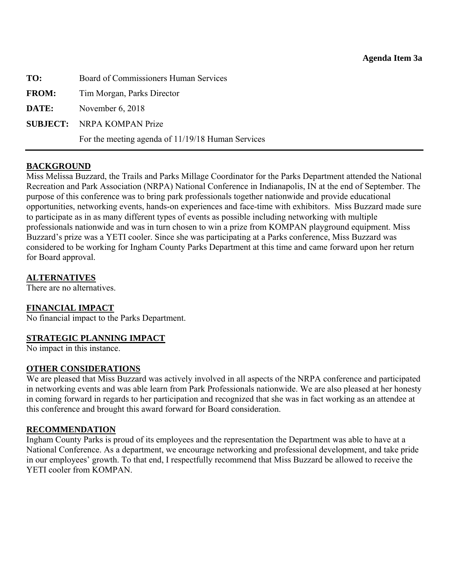<span id="page-28-0"></span>**TO:** Board of Commissioners Human Services

**FROM:** Tim Morgan, Parks Director

**DATE:** November 6, 2018

**SUBJECT:** NRPA KOMPAN Prize

For the meeting agenda of 11/19/18 Human Services

## **BACKGROUND**

Miss Melissa Buzzard, the Trails and Parks Millage Coordinator for the Parks Department attended the National Recreation and Park Association (NRPA) National Conference in Indianapolis, IN at the end of September. The purpose of this conference was to bring park professionals together nationwide and provide educational opportunities, networking events, hands-on experiences and face-time with exhibitors. Miss Buzzard made sure to participate as in as many different types of events as possible including networking with multiple professionals nationwide and was in turn chosen to win a prize from KOMPAN playground equipment. Miss Buzzard's prize was a YETI cooler. Since she was participating at a Parks conference, Miss Buzzard was considered to be working for Ingham County Parks Department at this time and came forward upon her return for Board approval.

## **ALTERNATIVES**

There are no alternatives.

## **FINANCIAL IMPACT**

No financial impact to the Parks Department.

## **STRATEGIC PLANNING IMPACT**

No impact in this instance.

## **OTHER CONSIDERATIONS**

We are pleased that Miss Buzzard was actively involved in all aspects of the NRPA conference and participated in networking events and was able learn from Park Professionals nationwide. We are also pleased at her honesty in coming forward in regards to her participation and recognized that she was in fact working as an attendee at this conference and brought this award forward for Board consideration.

## **RECOMMENDATION**

Ingham County Parks is proud of its employees and the representation the Department was able to have at a National Conference. As a department, we encourage networking and professional development, and take pride in our employees' growth. To that end, I respectfully recommend that Miss Buzzard be allowed to receive the YETI cooler from KOMPAN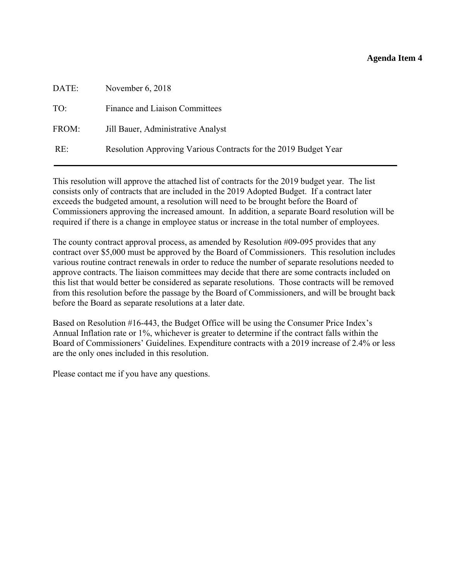## **Agenda Item 4**

<span id="page-29-0"></span>

| DATE: | November $6, 2018$                                              |
|-------|-----------------------------------------------------------------|
| TO:   | Finance and Liaison Committees                                  |
| FROM: | Jill Bauer, Administrative Analyst                              |
| RE:   | Resolution Approving Various Contracts for the 2019 Budget Year |

This resolution will approve the attached list of contracts for the 2019 budget year. The list consists only of contracts that are included in the 2019 Adopted Budget. If a contract later exceeds the budgeted amount, a resolution will need to be brought before the Board of Commissioners approving the increased amount. In addition, a separate Board resolution will be required if there is a change in employee status or increase in the total number of employees.

The county contract approval process, as amended by Resolution #09-095 provides that any contract over \$5,000 must be approved by the Board of Commissioners. This resolution includes various routine contract renewals in order to reduce the number of separate resolutions needed to approve contracts. The liaison committees may decide that there are some contracts included on this list that would better be considered as separate resolutions. Those contracts will be removed from this resolution before the passage by the Board of Commissioners, and will be brought back before the Board as separate resolutions at a later date.

Based on Resolution #16-443, the Budget Office will be using the Consumer Price Index's Annual Inflation rate or 1%, whichever is greater to determine if the contract falls within the Board of Commissioners' Guidelines. Expenditure contracts with a 2019 increase of 2.4% or less are the only ones included in this resolution.

Please contact me if you have any questions.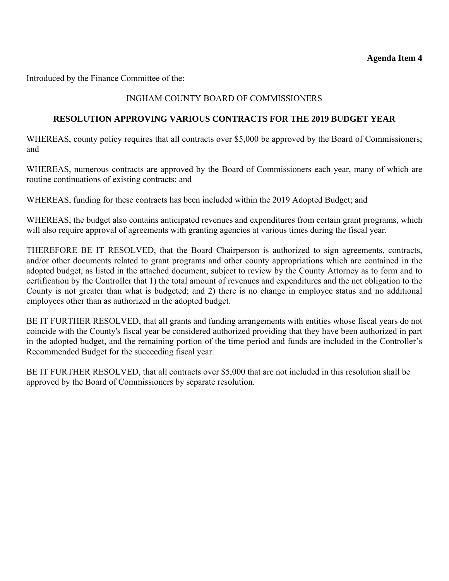Introduced by the Finance Committee of the:

## INGHAM COUNTY BOARD OF COMMISSIONERS

## **RESOLUTION APPROVING VARIOUS CONTRACTS FOR THE 2019 BUDGET YEAR**

WHEREAS, county policy requires that all contracts over \$5,000 be approved by the Board of Commissioners; and

WHEREAS, numerous contracts are approved by the Board of Commissioners each year, many of which are routine continuations of existing contracts; and

WHEREAS, funding for these contracts has been included within the 2019 Adopted Budget; and

WHEREAS, the budget also contains anticipated revenues and expenditures from certain grant programs, which will also require approval of agreements with granting agencies at various times during the fiscal year.

THEREFORE BE IT RESOLVED, that the Board Chairperson is authorized to sign agreements, contracts, and/or other documents related to grant programs and other county appropriations which are contained in the adopted budget, as listed in the attached document, subject to review by the County Attorney as to form and to certification by the Controller that 1) the total amount of revenues and expenditures and the net obligation to the County is not greater than what is budgeted; and 2) there is no change in employee status and no additional employees other than as authorized in the adopted budget.

BE IT FURTHER RESOLVED, that all grants and funding arrangements with entities whose fiscal years do not coincide with the County's fiscal year be considered authorized providing that they have been authorized in part in the adopted budget, and the remaining portion of the time period and funds are included in the Controller's Recommended Budget for the succeeding fiscal year.

BE IT FURTHER RESOLVED, that all contracts over \$5,000 that are not included in this resolution shall be approved by the Board of Commissioners by separate resolution.